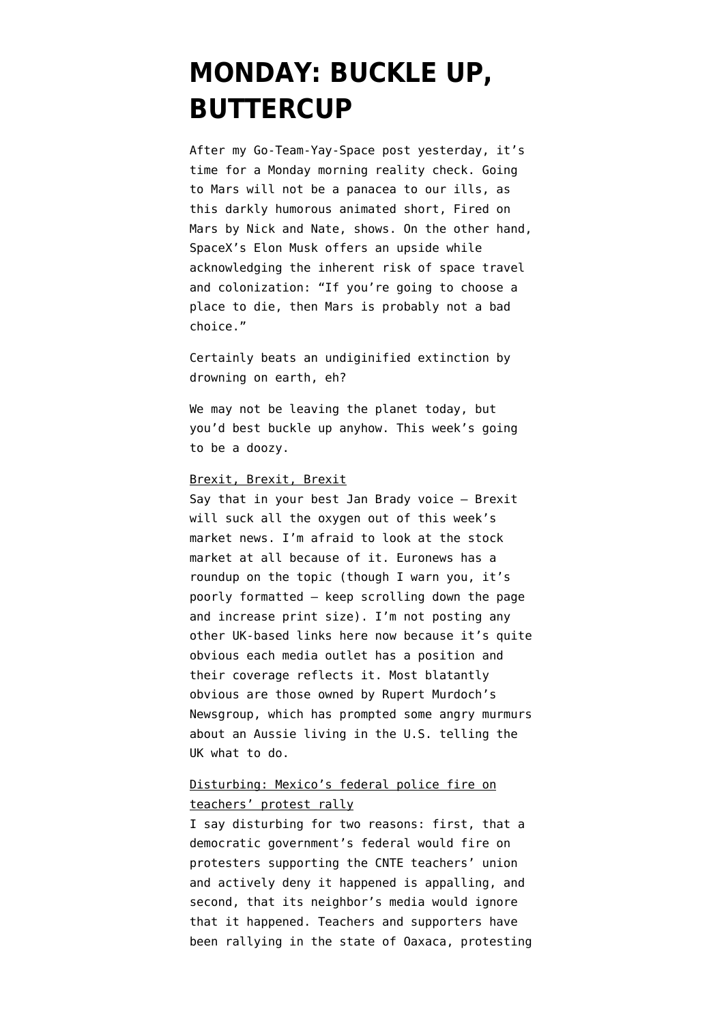# **[MONDAY: BUCKLE UP,](https://www.emptywheel.net/2016/06/20/monday-buckle-up-buttercup/) [BUTTERCUP](https://www.emptywheel.net/2016/06/20/monday-buckle-up-buttercup/)**

After my Go-Team-Yay-Space post yesterday, it's time for a Monday morning reality check. Going to Mars will not be a panacea to our ills, as this darkly humorous animated short, Fired on Mars by Nick and Nate, shows. On the other hand, SpaceX's Elon Musk offers an upside while acknowledging the inherent risk of space travel and colonization: ["If you're going to choose a](https://www.vice.com/read/elon-musk-wants-to-die-in-an-ultra-democratic-society-that-lives-on-mars-apparently) [place to die, then Mars is probably not a bad](https://www.vice.com/read/elon-musk-wants-to-die-in-an-ultra-democratic-society-that-lives-on-mars-apparently) [choice."](https://www.vice.com/read/elon-musk-wants-to-die-in-an-ultra-democratic-society-that-lives-on-mars-apparently)

Certainly beats an [undiginified extinction by](https://www.theguardian.com/environment/2016/jun/14/first-case-emerges-of-mammal-species-wiped-out-by-human-induced-climate-change) [drowning](https://www.theguardian.com/environment/2016/jun/14/first-case-emerges-of-mammal-species-wiped-out-by-human-induced-climate-change) on earth, eh?

We may not be leaving the planet today, but you'd best buckle up anyhow. This week's going to be a doozy.

## Brexit, Brexit, Brexit

Say that in your [best Jan Brady voice](https://youtu.be/w2fXs3bf-p0) — Brexit will suck all the oxygen out of this week's market news. I'm afraid to [look at the stock](http://www.latimes.com/business/la-fi-brexit-economic-impact-20160620-snap-story.html) [market](http://www.latimes.com/business/la-fi-brexit-economic-impact-20160620-snap-story.html) at all because of it. Euronews [has a](http://www.euronews.com/2016/05/26/brexit-blog-what-you-need-to-know-as-the-uk-eu-referendum-looms/) [roundup](http://www.euronews.com/2016/05/26/brexit-blog-what-you-need-to-know-as-the-uk-eu-referendum-looms/) on the topic (though I warn you, it's poorly formatted — keep scrolling down the page and increase print size). I'm not posting any other UK-based links here now because it's quite obvious each media outlet has a position and their coverage reflects it. Most blatantly obvious are those owned by Rupert Murdoch's Newsgroup, which has prompted some angry murmurs about an Aussie living in the U.S. telling the UK what to do.

# Disturbing: Mexico's federal police fire on teachers' protest rally

I say disturbing for two reasons: first, that a democratic government's federal would fire on protesters supporting the CNTE teachers' union and actively deny it happened is appalling, and second, that its neighbor's media would ignore that it happened. Teachers and supporters have been rallying in the state of Oaxaca, protesting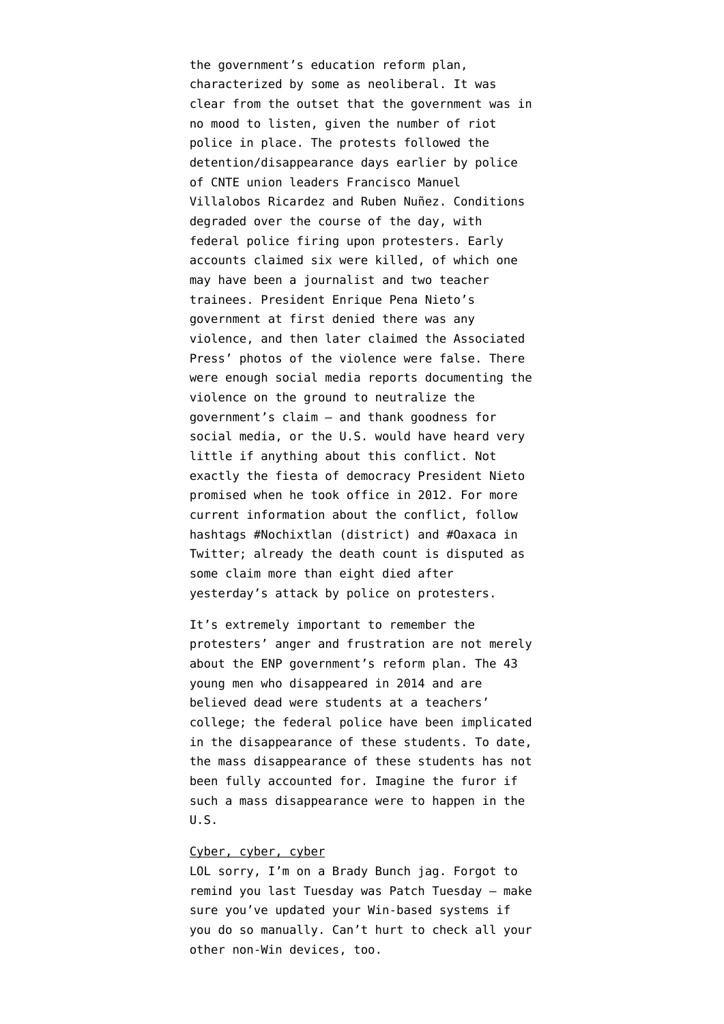the government's education reform plan, characterized by some as neoliberal. It was clear from the outset that the government was in no mood to listen, given the [number of riot](https://vine.co/v/ilTH72bb7EF) [police](https://vine.co/v/ilTH72bb7EF) in place. The protests followed the [detention/disappearance days earlier by police](http://www.telesurtv.net/english/news/Mexican-State-Disappears-Leaders-of-Striking-Teachers-Union-20160612-0026.html) of CNTE union leaders Francisco Manuel Villalobos Ricardez and Ruben Nuñez. Conditions degraded over the course of the day, with [federal police firing upon protesters](https://vine.co/v/5BBt6YHMmwl). Early accounts claimed [six were killed,](http://www.telesurtv.net/english/news/Mexican-Police-Kill-3-in-Clashes-with-Striking-Oaxaca-Teachers-20160619-0024.html) of which one may have been a journalist and two teacher trainees. President Enrique Pena Nieto's government at first denied there was any violence, and then later claimed the Associated Press' photos of the violence were false. There were enough social media reports documenting the violence on the ground to neutralize the government's claim — and thank goodness for social media, or the U.S. would have heard very little if anything about this conflict. Not exactly the [fiesta of democracy](https://www.yahoo.com/news/mexico-returns-former-ruling-party-power-052201748.html) President Nieto promised when he took office in 2012. For more current information about the conflict, follow hashtags [#Nochixtlan](https://twitter.com/hashtag/Nochixtlan?src=hash) (district) and [#Oaxaca](https://twitter.com/hashtag/Oaxaca?src=hash) in Twitter; already the death count is disputed as some claim more than eight died after yesterday's attack by police on protesters.

It's extremely important to remember the protesters' anger and frustration are not merely about the ENP government's reform plan. The 43 young men who disappeared in 2014 and are believed dead were students at a teachers' college; the federal police have been [implicated](http://www.huffingtonpost.com/2014/12/14/missing-students-mexico_n_6321866.html) [in the disappearance](http://www.huffingtonpost.com/2014/12/14/missing-students-mexico_n_6321866.html) of these students. To date, the mass disappearance of these students has not been fully accounted for. Imagine the furor if such a mass disappearance were to happen in the U.S.

#### Cyber, cyber, cyber

LOL sorry, I'm on a Brady Bunch jag. Forgot to remind you last Tuesday was Patch Tuesday — make sure you've updated your Win-based systems if you do so manually. Can't hurt to check all your other non-Win devices, too.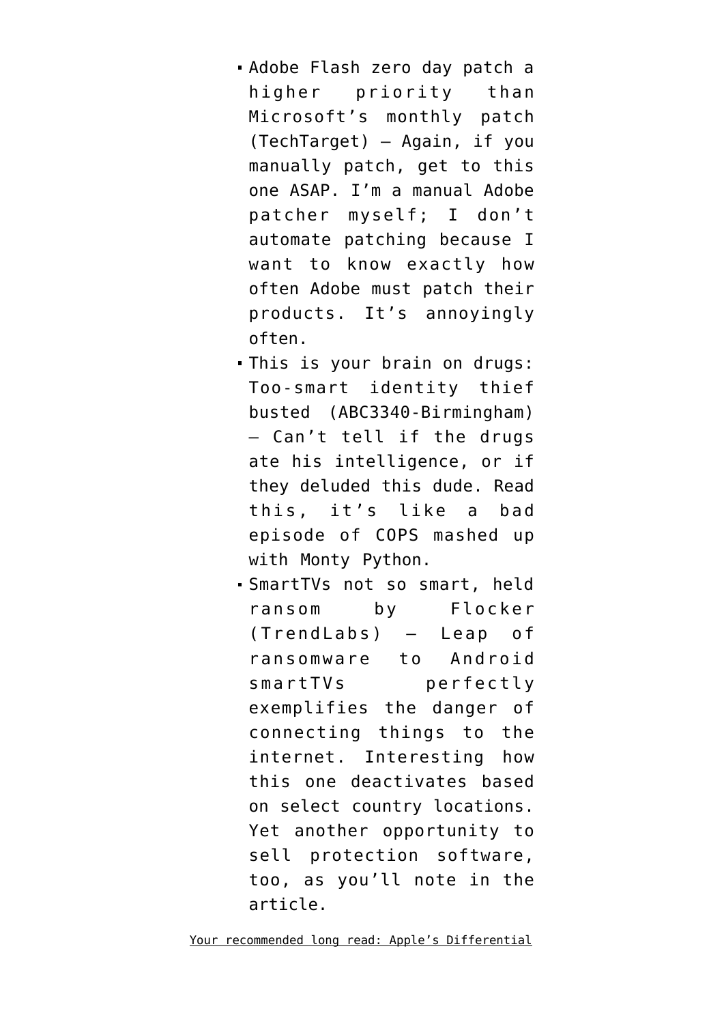- [Adobe Flash zero day patch a](http://searchsecurity.techtarget.com/news/450298433/Adobe-Flash-zero-day-overshadows-June-2016-Microsoft-Patch-Tuesday) [higher priority than](http://searchsecurity.techtarget.com/news/450298433/Adobe-Flash-zero-day-overshadows-June-2016-Microsoft-Patch-Tuesday) [Microsoft's monthly patch](http://searchsecurity.techtarget.com/news/450298433/Adobe-Flash-zero-day-overshadows-June-2016-Microsoft-Patch-Tuesday) (TechTarget) — Again, if you manually patch, get to this one ASAP. I'm a manual Adobe patcher myself; I don't automate patching because I want to know exactly how often Adobe must patch their products. It's annoyingly often.
- This is your brain on drugs: [Too-smart identity thief](http://abc3340.com/news/local/birmingham-man-who-boasted-he-was-too-smart-to-be-caught-arrested-in-tennessee) [busted](http://abc3340.com/news/local/birmingham-man-who-boasted-he-was-too-smart-to-be-caught-arrested-in-tennessee) (ABC3340-Birmingham) — Can't tell if the drugs ate his intelligence, or if they deluded this dude. Read this, it's like a bad episode of COPS mashed up with Monty Python.
- [SmartTVs not so smart, held](http://blog.trendmicro.com/trendlabs-security-intelligence/flocker-ransomware-crosses-smart-tv/) [ransom by Flocker](http://blog.trendmicro.com/trendlabs-security-intelligence/flocker-ransomware-crosses-smart-tv/) (TrendLabs) — Leap of ransomware to Android smartTVs perfectly exemplifies the danger of connecting things to the internet. Interesting how this one deactivates based on select country locations. Yet another opportunity to sell protection software, too, as you'll note in the article.